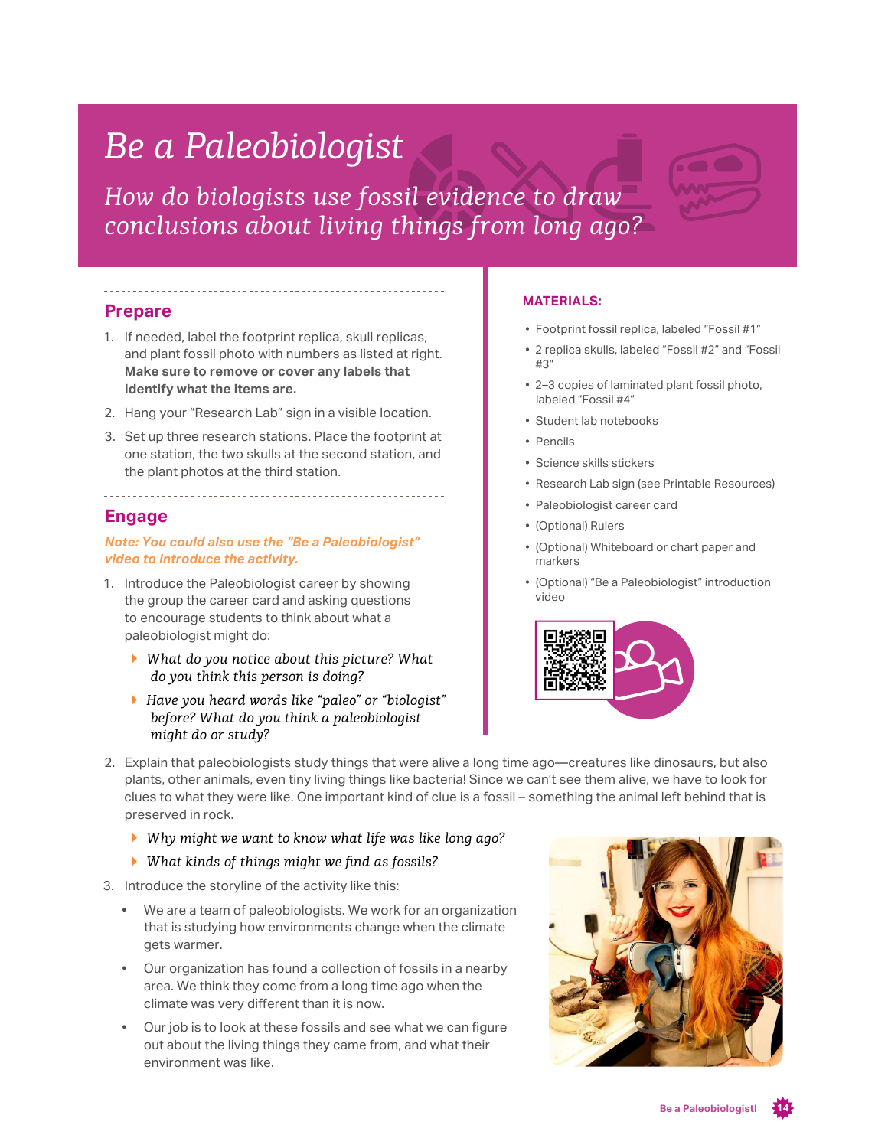## *Be a Paleobiologist*

*How do biologists use fossil evidence to draw conclusions about living things from long ago?*

#### **Prepare**

- 1. If needed, label the footprint replica, skull replicas, and plant fossil photo with numbers as listed at right. **Make sure to remove or cover any labels that identify what the items are.**
- 2. Hang your "Research Lab" sign in a visible location.
- 3. Set up three research stations. Place the footprint at one station, the two skulls at the second station, and the plant photos at the third station.

### **Engage**

*Note: You could also use the "Be a Paleobiologist" video to introduce the activity.*

--------------------------------------

- 1. Introduce the Paleobiologist career by showing the group the career card and asking questions to encourage students to think about what a paleobiologist might do:
	- *▶ What do you notice about this picture? What do you think this person is doing?*
	- *▶ Have you heard words like "paleo" or "biologist" before? What do you think a paleobiologist might do or study?*

#### **MATERIALS:**

- Footprint fossil replica, labeled "Fossil #1"
- 2 replica skulls, labeled "Fossil #2" and "Fossil  $H$ <sup>3</sup>
- 2–3 copies of laminated plant fossil photo, labeled "Fossil #4"
- Student lab notebooks
- Pencils
- Science skills stickers
- Research Lab sign (see Printable Resources)
- Paleobiologist career card
- (Optional) Rulers
- (Optional) Whiteboard or chart paper and markers
- (Optional) "Be a Paleobiologist" introduction video



- 2. Explain that paleobiologists study things that were alive a long time ago—creatures like dinosaurs, but also plants, other animals, even tiny living things like bacteria! Since we can't see them alive, we have to look for clues to what they were like. One important kind of clue is a fossil – something the animal left behind that is preserved in rock.
	- *▶ Why might we want to know what life was like long ago?*
	- *▶ What kinds of things might we find as fossils?*
- 3. Introduce the storyline of the activity like this:
	- We are a team of paleobiologists. We work for an organization that is studying how environments change when the climate gets warmer.
	- Our organization has found a collection of fossils in a nearby area. We think they come from a long time ago when the climate was very different than it is now.
	- Our job is to look at these fossils and see what we can figure out about the living things they came from, and what their environment was like.

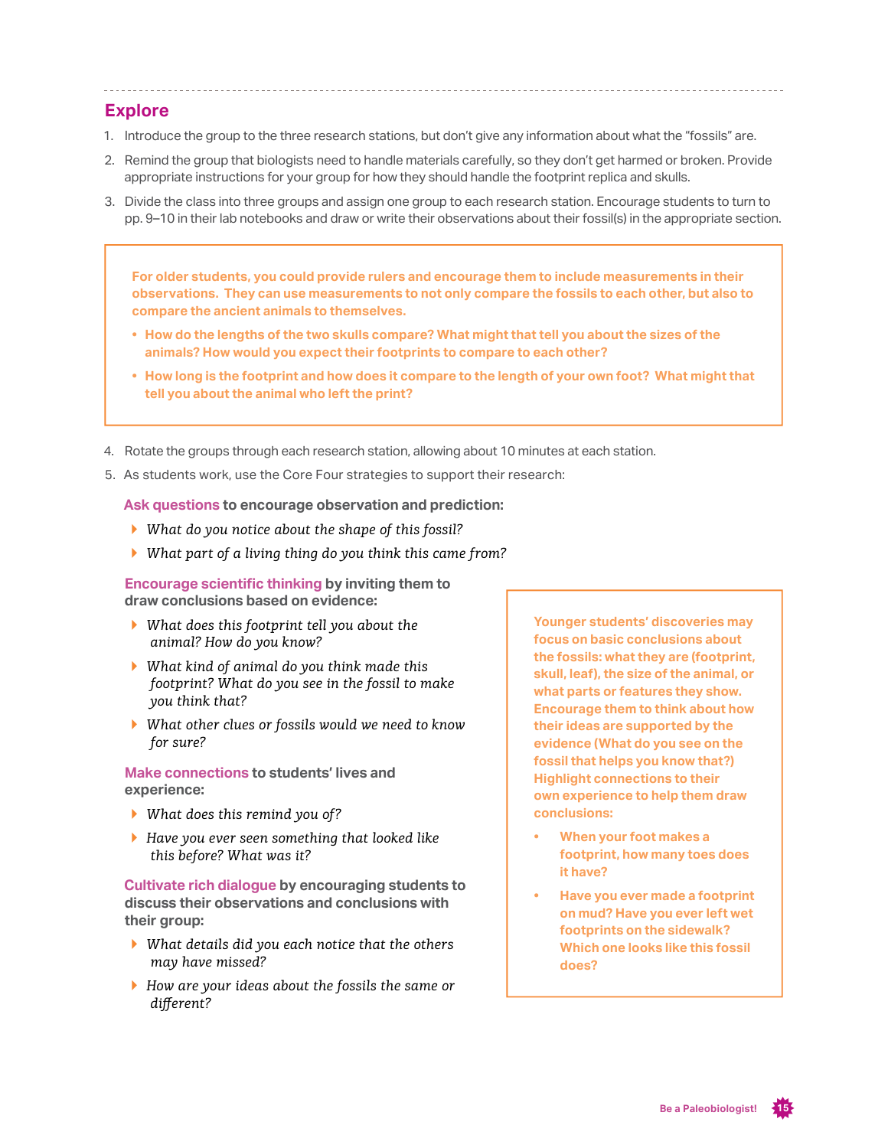#### **Explore**

- 1. Introduce the group to the three research stations, but don't give any information about what the "fossils" are.
- 2. Remind the group that biologists need to handle materials carefully, so they don't get harmed or broken. Provide appropriate instructions for your group for how they should handle the footprint replica and skulls.
- 3. Divide the class into three groups and assign one group to each research station. Encourage students to turn to pp. 9–10 in their lab notebooks and draw or write their observations about their fossil(s) in the appropriate section.

**For older students, you could provide rulers and encourage them to include measurements in their observations. They can use measurements to not only compare the fossils to each other, but also to compare the ancient animals to themselves.** 

- **• How do the lengths of the two skulls compare? What might that tell you about the sizes of the animals? How would you expect their footprints to compare to each other?**
- **• How long is the footprint and how does it compare to the length of your own foot? What might that tell you about the animal who left the print?**
- 4. Rotate the groups through each research station, allowing about 10 minutes at each station.
- 5. As students work, use the Core Four strategies to support their research:

**Ask questions to encourage observation and prediction:**

- *▶ What do you notice about the shape of this fossil?*
- *▶ What part of a living thing do you think this came from?*

**Encourage scientific thinking by inviting them to draw conclusions based on evidence:** 

- *▶ What does this footprint tell you about the animal? How do you know?*
- *▶ What kind of animal do you think made this footprint? What do you see in the fossil to make you think that?*
- *▶ What other clues or fossils would we need to know for sure?*

**Make connections to students' lives and experience:** 

- *▶ What does this remind you of?*
- *▶ Have you ever seen something that looked like this before? What was it?*

**Cultivate rich dialogue by encouraging students to discuss their observations and conclusions with their group:**

- *▶ What details did you each notice that the others may have missed?*
- *▶ How are your ideas about the fossils the same or different?*

**Younger students' discoveries may focus on basic conclusions about the fossils: what they are (footprint, skull, leaf), the size of the animal, or what parts or features they show. Encourage them to think about how their ideas are supported by the evidence (What do you see on the fossil that helps you know that?) Highlight connections to their own experience to help them draw conclusions:** 

- **• When your foot makes a footprint, how many toes does it have?**
- **• Have you ever made a footprint on mud? Have you ever left wet footprints on the sidewalk? Which one looks like this fossil does?**

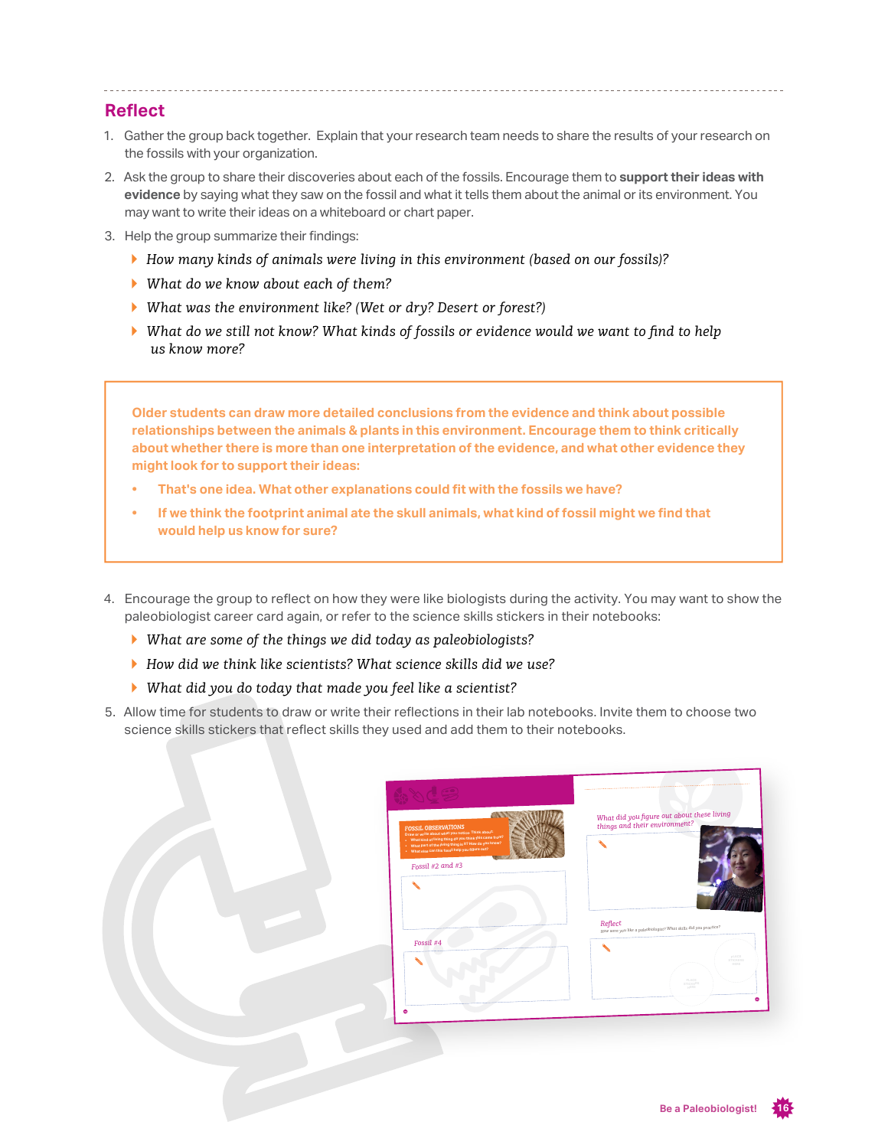#### **Reflect**

- 1. Gather the group back together. Explain that your research team needs to share the results of your research on the fossils with your organization.
- 2. Ask the group to share their discoveries about each of the fossils. Encourage them to **support their ideas with evidence** by saying what they saw on the fossil and what it tells them about the animal or its environment. You may want to write their ideas on a whiteboard or chart paper.
- 3. Help the group summarize their findings:
	- *▶ How many kinds of animals were living in this environment (based on our fossils)?*
	- *▶ What do we know about each of them?*
	- *▶ What was the environment like? (Wet or dry? Desert or forest?)*
	- *▶ What do we still not know? What kinds of fossils or evidence would we want to find to help us know more?*

**Older students can draw more detailed conclusions from the evidence and think about possible relationships between the animals & plants in this environment. Encourage them to think critically about whether there is more than one interpretation of the evidence, and what other evidence they might look for to support their ideas:**

- **• That's one idea. What other explanations could fit with the fossils we have?**
- **• If we think the footprint animal ate the skull animals, what kind of fossil might we find that would help us know for sure?**
- 4. Encourage the group to reflect on how they were like biologists during the activity. You may want to show the paleobiologist career card again, or refer to the science skills stickers in their notebooks:
	- *▶ What are some of the things we did today as paleobiologists?*
	- *▶ How did we think like scientists? What science skills did we use?*
	- *▶ What did you do today that made you feel like a scientist?*
- 5. Allow time for students to draw or write their reflections in their lab notebooks. Invite them to choose two science skills stickers that reflect skills they used and add them to their notebooks.

| How were you like a paleobiologist? What skills did you practice? |
|-------------------------------------------------------------------|
| PLACE<br>STICKERS                                                 |
| PLACE                                                             |
| <b>STICKERS</b><br>NERE                                           |
|                                                                   |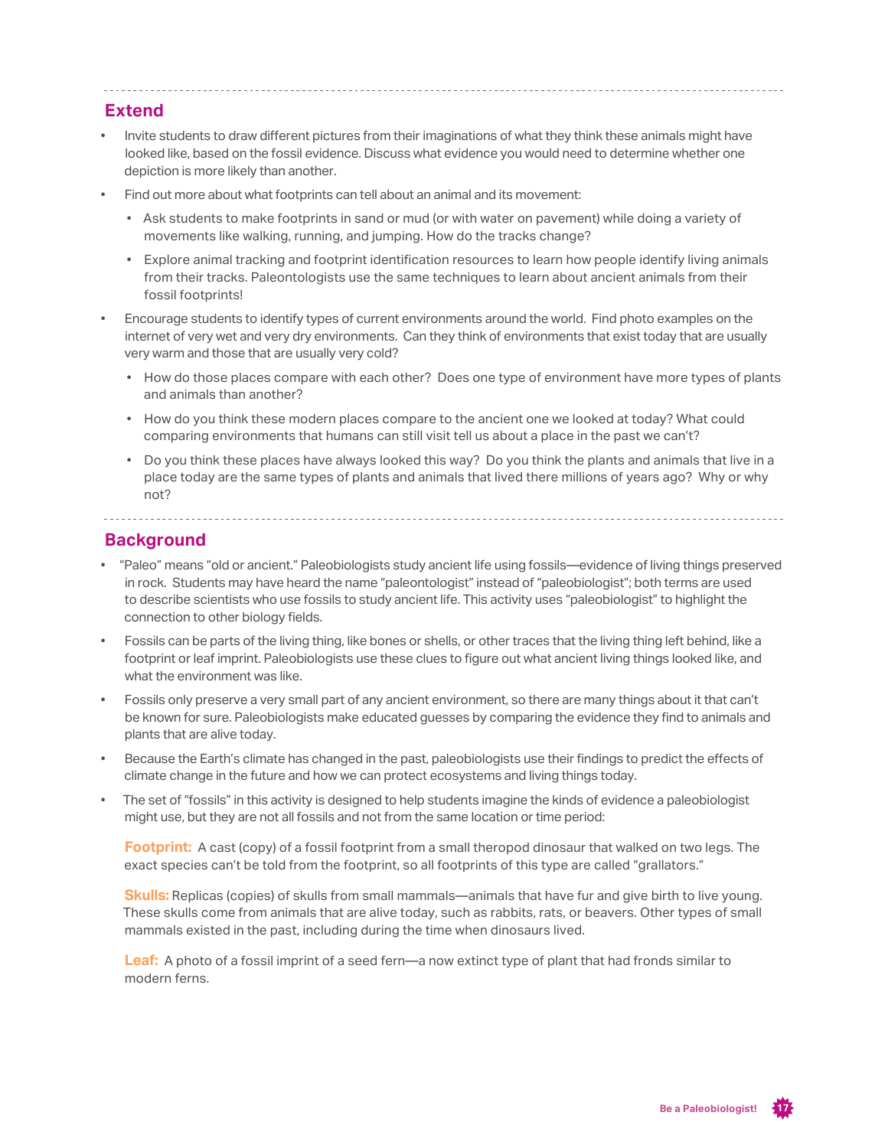#### **Extend**

- Invite students to draw different pictures from their imaginations of what they think these animals might have looked like, based on the fossil evidence. Discuss what evidence you would need to determine whether one depiction is more likely than another.
- Find out more about what footprints can tell about an animal and its movement:
	- Ask students to make footprints in sand or mud (or with water on pavement) while doing a variety of movements like walking, running, and jumping. How do the tracks change?
	- Explore animal tracking and footprint identification resources to learn how people identify living animals from their tracks. Paleontologists use the same techniques to learn about ancient animals from their fossil footprints!
- Encourage students to identify types of current environments around the world. Find photo examples on the internet of very wet and very dry environments. Can they think of environments that exist today that are usually very warm and those that are usually very cold?
	- How do those places compare with each other? Does one type of environment have more types of plants and animals than another?
	- How do you think these modern places compare to the ancient one we looked at today? What could comparing environments that humans can still visit tell us about a place in the past we can't?
	- Do you think these places have always looked this way? Do you think the plants and animals that live in a place today are the same types of plants and animals that lived there millions of years ago? Why or why not?

## **Background**

- "Paleo" means "old or ancient." Paleobiologists study ancient life using fossils—evidence of living things preserved in rock. Students may have heard the name "paleontologist" instead of "paleobiologist"; both terms are used to describe scientists who use fossils to study ancient life. This activity uses "paleobiologist" to highlight the connection to other biology fields.
- Fossils can be parts of the living thing, like bones or shells, or other traces that the living thing left behind, like a footprint or leaf imprint. Paleobiologists use these clues to figure out what ancient living things looked like, and what the environment was like.
- Fossils only preserve a very small part of any ancient environment, so there are many things about it that can't be known for sure. Paleobiologists make educated guesses by comparing the evidence they find to animals and plants that are alive today.
- Because the Earth's climate has changed in the past, paleobiologists use their findings to predict the effects of climate change in the future and how we can protect ecosystems and living things today.
- The set of "fossils" in this activity is designed to help students imagine the kinds of evidence a paleobiologist might use, but they are not all fossils and not from the same location or time period:

**Footprint:** A cast (copy) of a fossil footprint from a small theropod dinosaur that walked on two legs. The exact species can't be told from the footprint, so all footprints of this type are called "grallators."

**Skulls:** Replicas (copies) of skulls from small mammals—animals that have fur and give birth to live young. These skulls come from animals that are alive today, such as rabbits, rats, or beavers. Other types of small mammals existed in the past, including during the time when dinosaurs lived.

**Leaf:** A photo of a fossil imprint of a seed fern—a now extinct type of plant that had fronds similar to modern ferns.